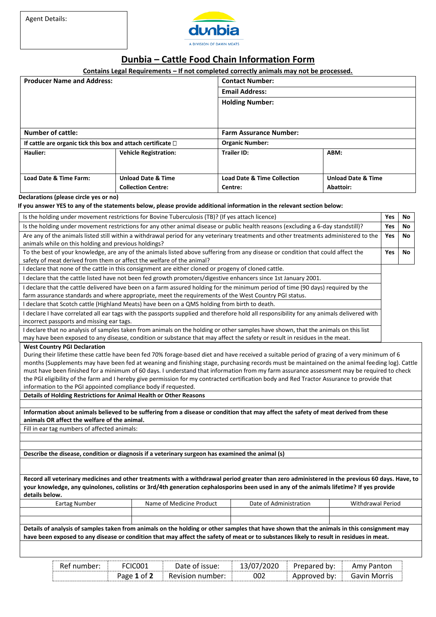

## **Dunbia – Cattle Food Chain Information Form**

## **Contains Legal Requirements – If not completed correctly animals may not be processed.**

| <b>Producer Name and Address:</b>                                    |                           | <b>Contact Number:</b>                 |                               |  |  |  |
|----------------------------------------------------------------------|---------------------------|----------------------------------------|-------------------------------|--|--|--|
|                                                                      |                           | <b>Email Address:</b>                  |                               |  |  |  |
|                                                                      |                           | <b>Holding Number:</b>                 |                               |  |  |  |
|                                                                      |                           |                                        |                               |  |  |  |
|                                                                      |                           |                                        |                               |  |  |  |
| <b>Number of cattle:</b>                                             |                           | <b>Farm Assurance Number:</b>          |                               |  |  |  |
| If cattle are organic tick this box and attach certificate $\square$ |                           | <b>Organic Number:</b>                 |                               |  |  |  |
| <b>Vehicle Registration:</b><br>Haulier:                             |                           | <b>Trailer ID:</b>                     | ABM:                          |  |  |  |
|                                                                      |                           |                                        |                               |  |  |  |
|                                                                      |                           |                                        |                               |  |  |  |
| <b>Unload Date &amp; Time</b><br>Load Date & Time Farm:              |                           | <b>Load Date &amp; Time Collection</b> | <b>Unload Date &amp; Time</b> |  |  |  |
|                                                                      | <b>Collection Centre:</b> | Centre:                                | Abattoir:                     |  |  |  |

## **Declarations (please circle yes or no)**

## **If you answer YES to any of the statements below, please provide additional information in the relevant section below:**

| Is the holding under movement restrictions for Bovine Tuberculosis (TB)? (If yes attach licence)                                                                                                          |                                                                                                                                                                                                                                                                                                                                                                                                                                                                                                                                                                                             |                        |                          |  | No |
|-----------------------------------------------------------------------------------------------------------------------------------------------------------------------------------------------------------|---------------------------------------------------------------------------------------------------------------------------------------------------------------------------------------------------------------------------------------------------------------------------------------------------------------------------------------------------------------------------------------------------------------------------------------------------------------------------------------------------------------------------------------------------------------------------------------------|------------------------|--------------------------|--|----|
| Is the holding under movement restrictions for any other animal disease or public health reasons (excluding a 6-day standstill)?                                                                          |                                                                                                                                                                                                                                                                                                                                                                                                                                                                                                                                                                                             |                        |                          |  |    |
| Are any of the animals listed still within a withdrawal period for any veterinary treatments and other treatments administered to the<br>animals while on this holding and previous holdings?             |                                                                                                                                                                                                                                                                                                                                                                                                                                                                                                                                                                                             |                        |                          |  |    |
| To the best of your knowledge, are any of the animals listed above suffering from any disease or condition that could affect the<br>safety of meat derived from them or affect the welfare of the animal? |                                                                                                                                                                                                                                                                                                                                                                                                                                                                                                                                                                                             |                        |                          |  |    |
|                                                                                                                                                                                                           | I declare that none of the cattle in this consignment are either cloned or progeny of cloned cattle.                                                                                                                                                                                                                                                                                                                                                                                                                                                                                        |                        |                          |  |    |
|                                                                                                                                                                                                           | I declare that the cattle listed have not been fed growth promoters/digestive enhancers since 1st January 2001.                                                                                                                                                                                                                                                                                                                                                                                                                                                                             |                        |                          |  |    |
|                                                                                                                                                                                                           | I declare that the cattle delivered have been on a farm assured holding for the minimum period of time (90 days) required by the<br>farm assurance standards and where appropriate, meet the requirements of the West Country PGI status.                                                                                                                                                                                                                                                                                                                                                   |                        |                          |  |    |
|                                                                                                                                                                                                           | I declare that Scotch cattle (Highland Meats) have been on a QMS holding from birth to death.                                                                                                                                                                                                                                                                                                                                                                                                                                                                                               |                        |                          |  |    |
| incorrect passports and missing ear tags.                                                                                                                                                                 | I declare I have correlated all ear tags with the passports supplied and therefore hold all responsibility for any animals delivered with                                                                                                                                                                                                                                                                                                                                                                                                                                                   |                        |                          |  |    |
|                                                                                                                                                                                                           | I declare that no analysis of samples taken from animals on the holding or other samples have shown, that the animals on this list<br>may have been exposed to any disease, condition or substance that may affect the safety or result in residues in the meat.                                                                                                                                                                                                                                                                                                                            |                        |                          |  |    |
| information to the PGI appointed compliance body if requested.                                                                                                                                            | During their lifetime these cattle have been fed 70% forage-based diet and have received a suitable period of grazing of a very minimum of 6<br>months (Supplements may have been fed at weaning and finishing stage, purchasing records must be maintained on the animal feeding log). Cattle<br>must have been finished for a minimum of 60 days. I understand that information from my farm assurance assessment may be required to check<br>the PGI eligibility of the farm and I hereby give permission for my contracted certification body and Red Tractor Assurance to provide that |                        |                          |  |    |
| Details of Holding Restrictions for Animal Health or Other Reasons                                                                                                                                        |                                                                                                                                                                                                                                                                                                                                                                                                                                                                                                                                                                                             |                        |                          |  |    |
|                                                                                                                                                                                                           |                                                                                                                                                                                                                                                                                                                                                                                                                                                                                                                                                                                             |                        |                          |  |    |
| animals OR affect the welfare of the animal.                                                                                                                                                              | Information about animals believed to be suffering from a disease or condition that may affect the safety of meat derived from these                                                                                                                                                                                                                                                                                                                                                                                                                                                        |                        |                          |  |    |
| Fill in ear tag numbers of affected animals:                                                                                                                                                              |                                                                                                                                                                                                                                                                                                                                                                                                                                                                                                                                                                                             |                        |                          |  |    |
|                                                                                                                                                                                                           |                                                                                                                                                                                                                                                                                                                                                                                                                                                                                                                                                                                             |                        |                          |  |    |
|                                                                                                                                                                                                           |                                                                                                                                                                                                                                                                                                                                                                                                                                                                                                                                                                                             |                        |                          |  |    |
|                                                                                                                                                                                                           | Describe the disease, condition or diagnosis if a veterinary surgeon has examined the animal (s)                                                                                                                                                                                                                                                                                                                                                                                                                                                                                            |                        |                          |  |    |
|                                                                                                                                                                                                           |                                                                                                                                                                                                                                                                                                                                                                                                                                                                                                                                                                                             |                        |                          |  |    |
| details below.                                                                                                                                                                                            | Record all veterinary medicines and other treatments with a withdrawal period greater than zero administered in the previous 60 days. Have, to<br>your knowledge, any quinolones, colistins or 3rd/4th generation cephalosporins been used in any of the animals lifetime? If yes provide                                                                                                                                                                                                                                                                                                   |                        |                          |  |    |
| <b>Eartag Number</b>                                                                                                                                                                                      | Name of Medicine Product                                                                                                                                                                                                                                                                                                                                                                                                                                                                                                                                                                    | Date of Administration | <b>Withdrawal Period</b> |  |    |
|                                                                                                                                                                                                           | Details of analysis of samples taken from animals on the holding or other samples that have shown that the animals in this consignment may                                                                                                                                                                                                                                                                                                                                                                                                                                                  |                        |                          |  |    |
|                                                                                                                                                                                                           | have been exposed to any disease or condition that may affect the safety of meat or to substances likely to result in residues in meat.                                                                                                                                                                                                                                                                                                                                                                                                                                                     |                        |                          |  |    |

| FCIC001<br>Ref<br>number: ` |                                   | Date of issue:   | 13/07/2020 | bv:             | Amy Panton   |  |
|-----------------------------|-----------------------------------|------------------|------------|-----------------|--------------|--|
|                             | $\sim$ f $\overline{2}$<br>Page 1 | Revision number: | 002        | bv:<br>.nnrnved | Gavin Morris |  |